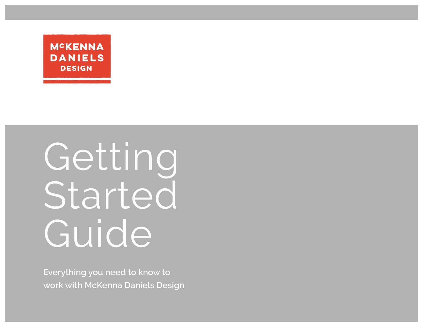

Getting Started Guide

**Everything you need to know to work with McKenna Daniels Design**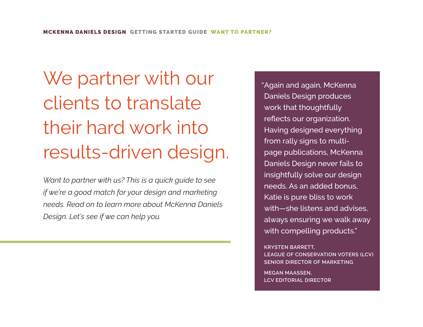We partner with our clients to translate their hard work into results-driven design.

*Want to partner with us? This is a quick guide to see if we're a good match for your design and marketing needs. Read on to learn more about McKenna Daniels Design. Let's see if we can help you.*

"Again and again, McKenna Daniels Design produces work that thoughtfully reflects our organization. Having designed everything from rally signs to multipage publications, McKenna Daniels Design never fails to insightfully solve our design needs. As an added bonus, Katie is pure bliss to work with—she listens and advises, always ensuring we walk away with compelling products."

**KRYSTEN BARRETT, LEAGUE OF CONSERVATION VOTERS (LCV) SENIOR DIRECTOR OF MARKETING** 

**MEGAN MAASSEN, LCV EDITORIAL DIRECTOR**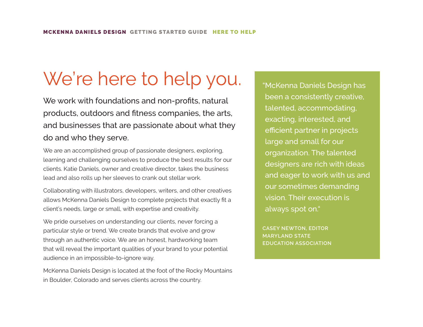# We're here to help you.

We work with foundations and non-profits, natural products, outdoors and fitness companies, the arts, and businesses that are passionate about what they do and who they serve.

We are an accomplished group of passionate designers, exploring, learning and challenging ourselves to produce the best results for our clients. Katie Daniels, owner and creative director, takes the business lead and also rolls up her sleeves to crank out stellar work.

Collaborating with illustrators, developers, writers, and other creatives allows McKenna Daniels Design to complete projects that exactly fit a client's needs, large or small, with expertise and creativity.

We pride ourselves on understanding our clients, never forcing a particular style or trend. We create brands that evolve and grow through an authentic voice. We are an honest, hardworking team that will reveal the important qualities of your brand to your potential audience in an impossible-to-ignore way.

McKenna Daniels Design is located at the foot of the Rocky Mountains in Boulder, Colorado and serves clients across the country.

"McKenna Daniels Design has been a consistently creative, talented, accommodating, exacting, interested, and efficient partner in projects large and small for our organization. The talented designers are rich with ideas and eager to work with us and our sometimes demanding vision. Their execution is always spot on."

**CASEY NEWTON, EDITOR MARYLAND STATE EDUCATION ASSOCIATION**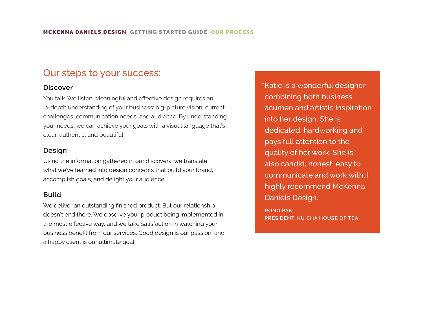### Our steps to your success:

#### **Discover**

You talk. We listen. Meaningful and effective design requires an in-depth understanding of your business: big-picture vision, current challenges, communication needs, and audience. By understanding your needs, we can achieve your goals with a visual language that's clear, authentic, and beautiful.

#### **Design**

Using the information gathered in our discovery, we translate what we've learned into design concepts that build your brand, accomplish goals, and delight your audience.

#### **Build**

We deliver an outstanding finished product. But our relationship doesn't end there. We observe your product being implemented in the most effective way, and we take satisfaction in watching your business benefit from our services. Good design is our passion, and a happy client is our ultimate goal.

"Katie is a wonderful designer combining both business acumen and artistic inspiration into her design. She is dedicated, hardworking and pays full attention to the quality of her work. She is also candid, honest, easy to communicate and work with. I highly recommend McKenna Daniels Design.

**RONG PAN PRESIDENT, KU CHA HOUSE OF TEA**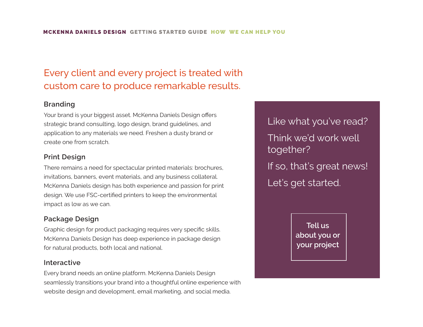## Every client and every project is treated with custom care to produce remarkable results.

#### **Branding**

Your brand is your biggest asset. McKenna Daniels Design offers strategic brand consulting, logo design, brand guidelines, and application to any materials we need. Freshen a dusty brand or create one from scratch.

#### **Print Design**

There remains a need for spectacular printed materials: brochures, invitations, banners, event materials, and any business collateral. McKenna Daniels design has both experience and passion for print design. We use FSC-certified printers to keep the environmental impact as low as we can.

#### **Package Design**

Graphic design for product packaging requires very specific skills. McKenna Daniels Design has deep experience in package design for natural products, both local and national.

#### **Interactive**

Every brand needs an online platform. McKenna Daniels Design seamlessly transitions your brand into a thoughtful online experience with website design and development, email marketing, and social media.

Like what you've read? Think we'd work well together? If so, that's great news! Let's get started.

> **[Tell us](mailto:info%40mckennadaniels.com?subject=tell%20us%20about%20your%20project)  [about you or](mailto:info%40mckennadaniels.com?subject=from%20your%20website%0D) [your project](mailto:info%40mckennadaniels.com?subject=tell%20us%20about%20your%20project)**